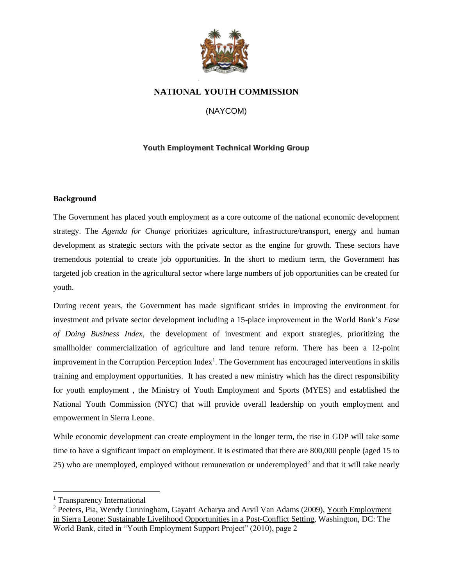

# **NATIONAL YOUTH COMMISSION**

(NAYCOM)

# **Youth Employment Technical Working Group**

#### **Background**

The Government has placed youth employment as a core outcome of the national economic development strategy. The *Agenda for Change* prioritizes agriculture, infrastructure/transport, energy and human development as strategic sectors with the private sector as the engine for growth. These sectors have tremendous potential to create job opportunities. In the short to medium term, the Government has targeted job creation in the agricultural sector where large numbers of job opportunities can be created for youth.

During recent years, the Government has made significant strides in improving the environment for investment and private sector development including a 15-place improvement in the World Bank's *Ease of Doing Business Index*, the development of investment and export strategies, prioritizing the smallholder commercialization of agriculture and land tenure reform. There has been a 12-point improvement in the Corruption Perception Index<sup>1</sup>. The Government has encouraged interventions in skills training and employment opportunities. It has created a new ministry which has the direct responsibility for youth employment , the Ministry of Youth Employment and Sports (MYES) and established the National Youth Commission (NYC) that will provide overall leadership on youth employment and empowerment in Sierra Leone.

While economic development can create employment in the longer term, the rise in GDP will take some time to have a significant impact on employment. It is estimated that there are 800,000 people (aged 15 to 25) who are unemployed, employed without remuneration or underemployed<sup>2</sup> and that it will take nearly

<sup>&</sup>lt;sup>1</sup> Transparency International

<sup>2</sup> Peeters, Pia, Wendy Cunningham, Gayatri Acharya and Arvil Van Adams (2009), Youth Employment in Sierra Leone: Sustainable Livelihood Opportunities in a Post-Conflict Setting, Washington, DC: The World Bank, cited in "Youth Employment Support Project" (2010), page 2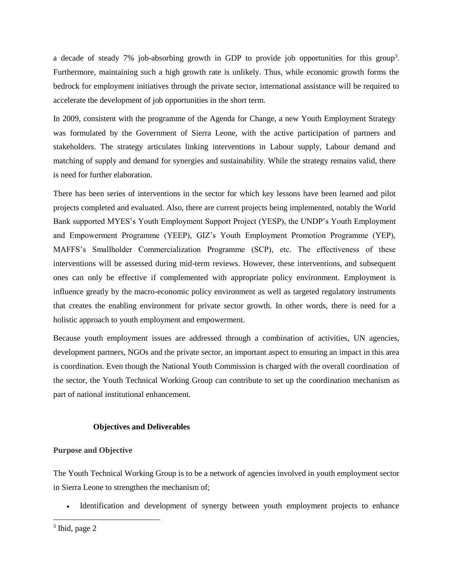a decade of steady 7% job-absorbing growth in GDP to provide job opportunities for this group<sup>3</sup>. Furthermore, maintaining such a high growth rate is unlikely. Thus, while economic growth forms the bedrock for employment initiatives through the private sector, international assistance will be required to accelerate the development of job opportunities in the short term.

In 2009, consistent with the programme of the Agenda for Change, a new Youth Employment Strategy was formulated by the Government of Sierra Leone, with the active participation of partners and stakeholders. The strategy articulates linking interventions in Labour supply, Labour demand and matching of supply and demand for synergies and sustainability. While the strategy remains valid, there is need for further elaboration.

There has been series of interventions in the sector for which key lessons have been learned and pilot projects completed and evaluated. Also, there are current projects being implemented, notably the World Bank supported MYES's Youth Employment Support Project (YESP), the UNDP's Youth Employment and Empowerment Programme (YEEP), GIZ's Youth Employment Promotion Programme (YEP), MAFFS's Smallholder Commercialization Programme (SCP), etc. The effectiveness of these interventions will be assessed during mid-term reviews. However, these interventions, and subsequent ones can only be effective if complemented with appropriate policy environment. Employment is influence greatly by the macro-economic policy environment as well as targeted regulatory instruments that creates the enabling environment for private sector growth. In other words, there is need for a holistic approach to youth employment and empowerment.

Because youth employment issues are addressed through a combination of activities, UN agencies, development partners, NGOs and the private sector, an important aspect to ensuring an impact in this area is coordination. Even though the National Youth Commission is charged with the overall coordination of the sector, the Youth Technical Working Group can contribute to set up the coordination mechanism as part of national institutional enhancement.

#### **Objectives and Deliverables**

## **Purpose and Objective**

The Youth Technical Working Group is to be a network of agencies involved in youth employment sector in Sierra Leone to strengthen the mechanism of;

• Identification and development of synergy between youth employment projects to enhance

<sup>&</sup>lt;sup>3</sup> Ibid, page 2